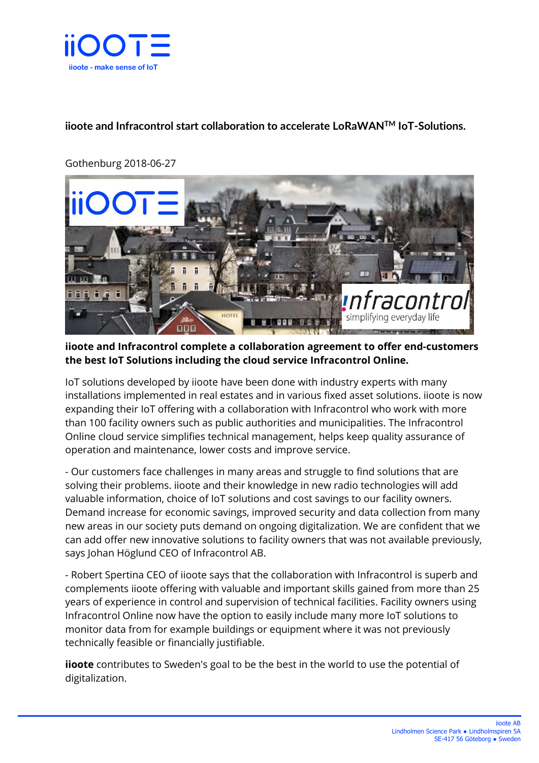

## **iioote and Infracontrol start collaboration to accelerate LoRaWANTM IoT-Solutions.**

## Gothenburg 2018-06-27



**iioote and Infracontrol complete a collaboration agreement to offer end-customers the best IoT Solutions including the cloud service Infracontrol Online.** 

IoT solutions developed by iioote have been done with industry experts with many installations implemented in real estates and in various fixed asset solutions. iioote is now expanding their IoT offering with a collaboration with Infracontrol who work with more than 100 facility owners such as public authorities and municipalities. The Infracontrol Online cloud service simplifies technical management, helps keep quality assurance of operation and maintenance, lower costs and improve service.

- Our customers face challenges in many areas and struggle to find solutions that are solving their problems. iioote and their knowledge in new radio technologies will add valuable information, choice of IoT solutions and cost savings to our facility owners. Demand increase for economic savings, improved security and data collection from many new areas in our society puts demand on ongoing digitalization. We are confident that we can add offer new innovative solutions to facility owners that was not available previously, says Johan Höglund CEO of Infracontrol AB.

- Robert Spertina CEO of iioote says that the collaboration with Infracontrol is superb and complements iioote offering with valuable and important skills gained from more than 25 years of experience in control and supervision of technical facilities. Facility owners using Infracontrol Online now have the option to easily include many more IoT solutions to monitor data from for example buildings or equipment where it was not previously technically feasible or financially justifiable.

**iioote** contributes to Sweden's goal to be the best in the world to use the potential of digitalization.